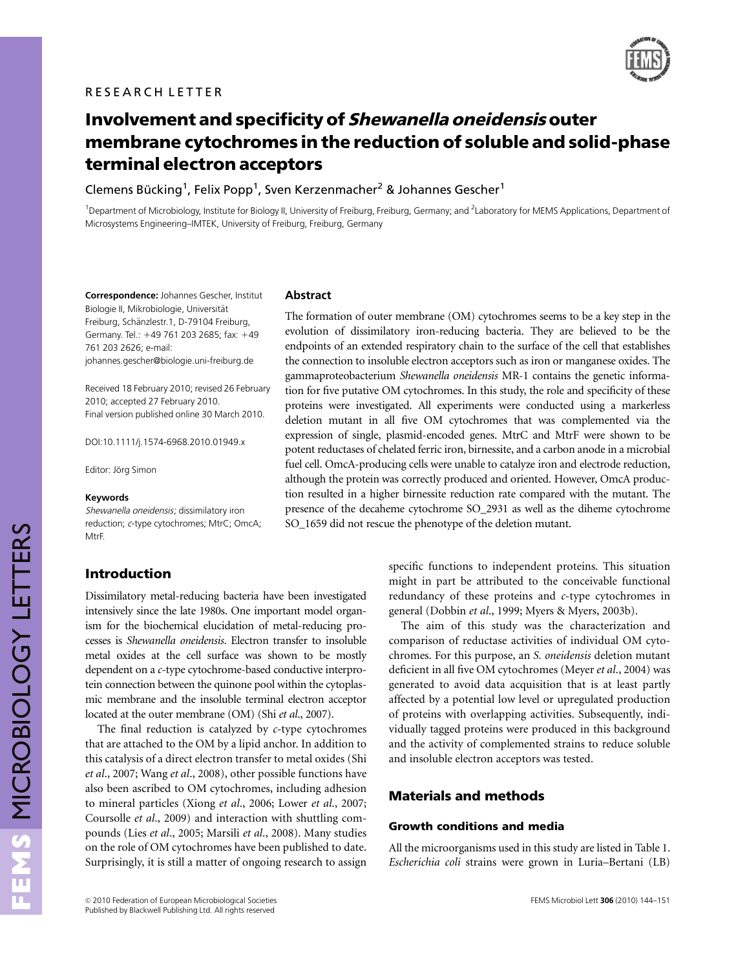

# Involvement and specificity of Shewanella oneidensis outer membrane cytochromes in the reduction of soluble and solid-phase terminal electron acceptors

Clemens Bücking $^1$ , Felix Popp $^1$ , Sven Kerzenmacher $^2$  & Johannes Gescher $^1$ 

<sup>1</sup>Department of Microbiology, Institute for Biology II, University of Freiburg, Freiburg, Germany; and <sup>2</sup>Laboratory for MEMS Applications, Department of Microsystems Engineering–IMTEK, University of Freiburg, Freiburg, Germany

Correspondence: Johannes Gescher, Institut Biologie II, Mikrobiologie, Universität Freiburg, Schänzlestr.1, D-79104 Freiburg, Germany. Tel.: +49 761 203 2685; fax: +49 761 203 2626; e-mail: [johannes.gescher@biologie.uni-freiburg.de](mailto:johannes.gescher@biologie.uni-freiburg.de)

Received 18 February 2010; revised 26 February 2010; accepted 27 February 2010. Final version published online 30 March 2010.

DOI:10.1111/j.1574-6968.2010.01949.x

Editor: Jörg Simon

#### Keywords

Shewanella oneidensis; dissimilatory iron reduction; <sup>c</sup>-type cytochromes; MtrC; OmcA; MtrF.

# Introduction

Dissimilatory metal-reducing bacteria have been investigated intensively since the late 1980s. One important model organism for the biochemical elucidation of metal-reducing processes is Shewanella oneidensis. Electron transfer to insoluble metal oxides at the cell surface was shown to be mostly dependent on a c-type cytochrome-based conductive interprotein connection between the quinone pool within the cytoplasmic membrane and the insoluble terminal electron acceptor located at the outer membrane (OM) (Shi et al., 2007).

The final reduction is catalyzed by c-type cytochromes that are attached to the OM by a lipid anchor. In addition to this catalysis of a direct electron transfer to metal oxides (Shi et al., 2007; Wang et al., 2008), other possible functions have also been ascribed to OM cytochromes, including adhesion to mineral particles (Xiong et al., 2006; Lower et al., 2007; Coursolle et al., 2009) and interaction with shuttling compounds (Lies et al., 2005; Marsili et al., 2008). Many studies on the role of OM cytochromes have been published to date. Surprisingly, it is still a matter of ongoing research to assign

## **Abstract**

The formation of outer membrane (OM) cytochromes seems to be a key step in the evolution of dissimilatory iron-reducing bacteria. They are believed to be the endpoints of an extended respiratory chain to the surface of the cell that establishes the connection to insoluble electron acceptors such as iron or manganese oxides. The gammaproteobacterium Shewanella oneidensis MR-1 contains the genetic information for five putative OM cytochromes. In this study, the role and specificity of these proteins were investigated. All experiments were conducted using a markerless deletion mutant in all five OM cytochromes that was complemented via the expression of single, plasmid-encoded genes. MtrC and MtrF were shown to be potent reductases of chelated ferric iron, birnessite, and a carbon anode in a microbial fuel cell. OmcA-producing cells were unable to catalyze iron and electrode reduction, although the protein was correctly produced and oriented. However, OmcA production resulted in a higher birnessite reduction rate compared with the mutant. The presence of the decaheme cytochrome SO\_2931 as well as the diheme cytochrome SO 1659 did not rescue the phenotype of the deletion mutant.

> specific functions to independent proteins. This situation might in part be attributed to the conceivable functional redundancy of these proteins and c-type cytochromes in general (Dobbin et al., 1999; Myers & Myers, 2003b).

> The aim of this study was the characterization and comparison of reductase activities of individual OM cytochromes. For this purpose, an S. oneidensis deletion mutant deficient in all five OM cytochromes (Meyer et al., 2004) was generated to avoid data acquisition that is at least partly affected by a potential low level or upregulated production of proteins with overlapping activities. Subsequently, individually tagged proteins were produced in this background and the activity of complemented strains to reduce soluble and insoluble electron acceptors was tested.

# Materials and methods

## Growth conditions and media

All the microorganisms used in this study are listed in Table 1. Escherichia coli strains were grown in Luria–Bertani (LB)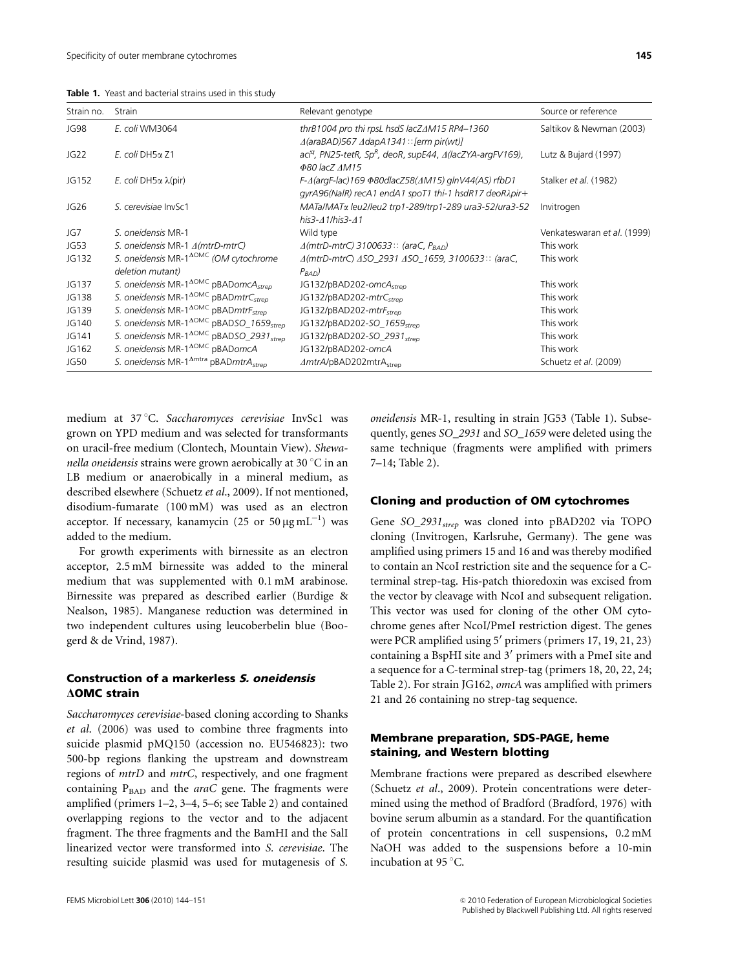| Table 1. Yeast and bacterial strains used in this study |
|---------------------------------------------------------|
|                                                         |

| Strain no.       | Strain                                                                               | Relevant genotype                                                                                                                               | Source or reference         |
|------------------|--------------------------------------------------------------------------------------|-------------------------------------------------------------------------------------------------------------------------------------------------|-----------------------------|
| JG98             | E. coli WM3064                                                                       | thrB1004 pro thi rpsL hsdS lacZ $\Delta M$ 15 RP4-1360<br>$\triangle$ (araBAD)567 $\triangle$ dapA1341:: [erm pir(wt)]                          | Saltikov & Newman (2003)    |
| JG <sub>22</sub> | $E.$ coli DH5 $\alpha$ Z1                                                            | aci <sup>q</sup> , PN25-tetR, Sp <sup>R</sup> , deoR, supE44, A(lacZYA-argFV169),<br><b>Φ80 lacZ ΔM15</b>                                       | Lutz & Bujard (1997)        |
| JG152            | <i>E.</i> coli DH5α $\lambda$ (pir)                                                  | $F-\Delta$ (argF-lac)169 $\Phi$ 80dlacZ58( $\Delta M$ 15) glnV44(AS) rfbD1<br>$qyrA96(Nalk)$ recA1 endA1 spoT1 thi-1 hsdR17 deoR $\lambda$ pir+ | Stalker et al. (1982)       |
| JG <sub>26</sub> | S. cerevisiae InvSc1                                                                 | MATa/MATα leu2/leu2 trp1-289/trp1-289 ura3-52/ura3-52<br>his $3 - 41$ /his $3 - 41$                                                             | Invitrogen                  |
| JG7              | S. oneidensis MR-1                                                                   | Wild type                                                                                                                                       | Venkateswaran et al. (1999) |
| JG53             | S. oneidensis MR-1 4(mtrD-mtrC)                                                      | $\triangle$ (mtrD-mtrC) 3100633:: (araC, $P_{BAD}$ )                                                                                            | This work                   |
| JG132            | S. oneidensis MR-1 <sup>AOMC</sup> (OM cytochrome                                    | A(mtrD-mtrC) ASO_2931 ASO_1659, 3100633:: (araC,                                                                                                | This work                   |
|                  | deletion mutant)                                                                     | $P_{BAD}$                                                                                                                                       |                             |
| JG137            | S. oneidensis MR-1 <sup><math>\triangle</math>OMC</sup> pBADomcA <sub>strep</sub>    | JG132/pBAD202-omcA <sub>stren</sub>                                                                                                             | This work                   |
| JG138            | S. oneidensis MR-1 <sup><math>\Delta</math>OMC</sup> pBADmtrC <sub>stren</sub>       | JG132/pBAD202-mtrCstren                                                                                                                         | This work                   |
| JG139            | S. oneidensis MR-1 <sup><math>\triangle</math>OMC</sup> pBADmtrF <sub>strep</sub>    | JG132/pBAD202-mtrFstrep                                                                                                                         | This work                   |
| JG140            | S. oneidensis MR-1 <sup><math>\triangle</math>OMC</sup> pBADSO_1659 <sub>strep</sub> | JG132/pBAD202-SO_1659strep                                                                                                                      | This work                   |
| JG141            | S. oneidensis MR-1 <sup><math>\triangle</math>OMC</sup> pBADSO_2931 <sub>strep</sub> | JG132/pBAD202-SO_2931 <sub>stren</sub>                                                                                                          | This work                   |
| JG162            | S. oneidensis MR-1 <sup>AOMC</sup> pBADomcA                                          | JG132/pBAD202-omcA                                                                                                                              | This work                   |
| JG50             | S. oneidensis MR-1 <sup><math>\Delta</math>mtra</sup> pBADmtr $A_{\text{stren}}$     | ⊿mtrA/pBAD202mtrAstrep                                                                                                                          | Schuetz et al. (2009)       |

medium at 37 °C. Saccharomyces cerevisiae InvSc1 was grown on YPD medium and was selected for transformants on uracil-free medium (Clontech, Mountain View). Shewanella oneidensis strains were grown aerobically at 30  $\mathrm{^{\circ}C}$  in an LB medium or anaerobically in a mineral medium, as described elsewhere (Schuetz et al., 2009). If not mentioned, disodium-fumarate (100 mM) was used as an electron acceptor. If necessary, kanamycin  $(25 \text{ or } 50 \,\mu\text{g} \,\text{mL}^{-1})$  was added to the medium.

For growth experiments with birnessite as an electron acceptor, 2.5 mM birnessite was added to the mineral medium that was supplemented with 0.1 mM arabinose. Birnessite was prepared as described earlier (Burdige & Nealson, 1985). Manganese reduction was determined in two independent cultures using leucoberbelin blue (Boogerd & de Vrind, 1987).

# Construction of a markerless S. oneidensis **AOMC** strain

Saccharomyces cerevisiae-based cloning according to Shanks et al. (2006) was used to combine three fragments into suicide plasmid pMQ150 (accession no. EU546823): two 500-bp regions flanking the upstream and downstream regions of mtrD and mtrC, respectively, and one fragment containing  $P<sub>BAD</sub>$  and the *araC* gene. The fragments were amplified (primers 1–2, 3–4, 5–6; see Table 2) and contained overlapping regions to the vector and to the adjacent fragment. The three fragments and the BamHI and the SalI linearized vector were transformed into S. cerevisiae. The resulting suicide plasmid was used for mutagenesis of S.

oneidensis MR-1, resulting in strain JG53 (Table 1). Subsequently, genes SO\_2931 and SO\_1659 were deleted using the same technique (fragments were amplified with primers 7–14; Table 2).

#### Cloning and production of OM cytochromes

Gene SO\_2931<sub>strep</sub> was cloned into pBAD202 via TOPO cloning (Invitrogen, Karlsruhe, Germany). The gene was amplified using primers 15 and 16 and was thereby modified to contain an NcoI restriction site and the sequence for a Cterminal strep-tag. His-patch thioredoxin was excised from the vector by cleavage with NcoI and subsequent religation. This vector was used for cloning of the other OM cytochrome genes after NcoI/PmeI restriction digest. The genes were PCR amplified using 5' primers (primers 17, 19, 21, 23) containing a BspHI site and  $3'$  primers with a PmeI site and a sequence for a C-terminal strep-tag (primers 18, 20, 22, 24; Table 2). For strain JG162, omcAwas amplified with primers 21 and 26 containing no strep-tag sequence.

# Membrane preparation, SDS-PAGE, heme staining, and Western blotting

Membrane fractions were prepared as described elsewhere (Schuetz et al., 2009). Protein concentrations were determined using the method of Bradford (Bradford, 1976) with bovine serum albumin as a standard. For the quantification of protein concentrations in cell suspensions, 0.2 mM NaOH was added to the suspensions before a 10-min incubation at 95 °C.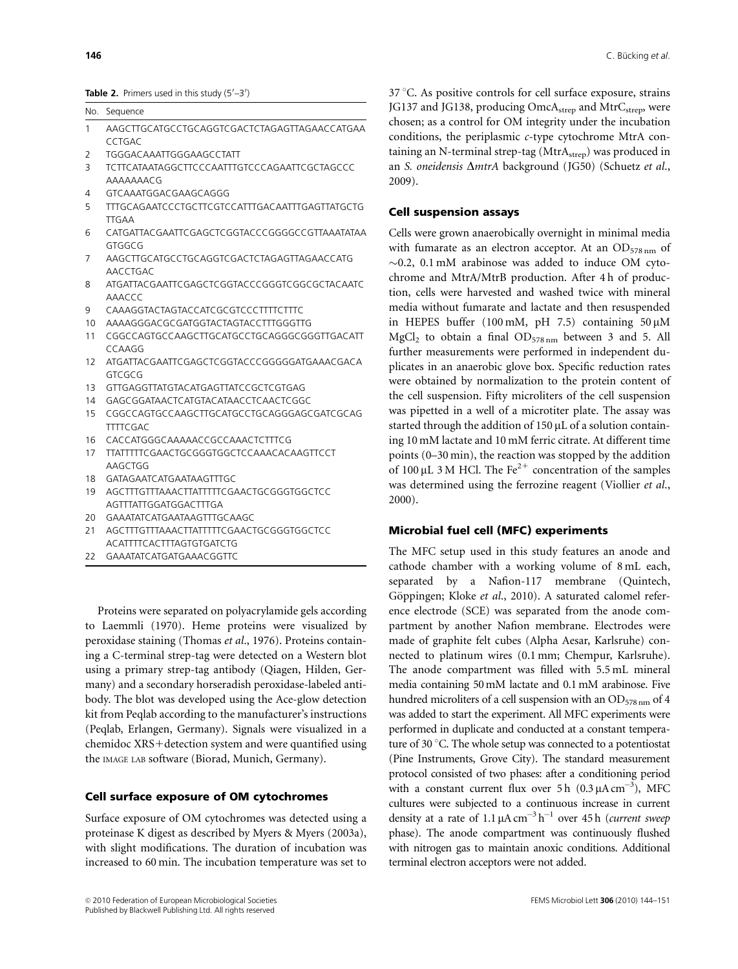**Table 2.** Primers used in this study (5'–3')

#### No. Sequence

- 1 AAGCTTGCATGCCTGCAGGTCGACTCTAGAGTTAGAACCATGAA CCTGAC
- 2 TGGGACAAATTGGGAAGCCTATT
- 3 TCTTCATAATAGGCTTCCCAATTTGTCCCAGAATTCGCTAGCCC AAAAAAACG
- 4 GTCAAATGGACGAAGCAGGG
- 5 TTTGCAGAATCCCTGCTTCGTCCATTTGACAATTTGAGTTATGCTG TTGAA
- 6 CATGATTACGAATTCGAGCTCGGTACCCGGGGCCGTTAAATATAA GTGGCG
- 7 AAGCTTGCATGCCTGCAGGTCGACTCTAGAGTTAGAACCATG AACCTGAC
- 8 ATGATTACGAATTCGAGCTCGGTACCCGGGTCGGCGCTACAATC AAACCC
- 9 CAAAGGTACTAGTACCATCGCGTCCCTTTTCTTTC
- 10 AAAAGGGACGCGATGGTACTAGTACCTTTGGGTTG
- 11 CGGCCAGTGCCAAGCTTGCATGCCTGCAGGGCGGGTTGACATT CCAAGG
- 12 ATGATTACGAATTCGAGCTCGGTACCCGGGGGATGAAACGACA GTCGCG
- 13 GTTGAGGTTATGTACATGAGTTATCCGCTCGTGAG
- 14 GAGCGGATAACTCATGTACATAACCTCAACTCGGC
- 15 CGGCCAGTGCCAAGCTTGCATGCCTGCAGGGAGCGATCGCAG **TTTTCGAC**
- 16 CACCATGGGCAAAAACCGCCAAACTCTTTCG
- 17 TTATTTTTCGAACTGCGGGTGGCTCCAAACACAAGTTCCT AAGCTGG
- 18 GATAGAATCATGAATAAGTTTGC
- 19 AGCTTTGTTTAAACTTATTTTTCGAACTGCGGGTGGCTCC AGTTTATTGGATGGACTTTGA
- 20 GAAATATCATGAATAAGTTTGCAAGC
- 21 AGCTTTGTTTAAACTTATTTTTCGAACTGCGGGTGGCTCC ACATTTTCACTTTAGTGTGATCTG
- 22 GAAATATCATGATGAAACGGTTC

Proteins were separated on polyacrylamide gels according to Laemmli (1970). Heme proteins were visualized by peroxidase staining (Thomas et al., 1976). Proteins containing a C-terminal strep-tag were detected on a Western blot using a primary strep-tag antibody (Qiagen, Hilden, Germany) and a secondary horseradish peroxidase-labeled antibody. The blot was developed using the Ace-glow detection kit from Peqlab according to the manufacturer's instructions (Peqlab, Erlangen, Germany). Signals were visualized in a chemidoc XRS+detection system and were quantified using the IMAGE LAB software (Biorad, Munich, Germany).

#### Cell surface exposure of OM cytochromes

Surface exposure of OM cytochromes was detected using a proteinase K digest as described by Myers & Myers (2003a), with slight modifications. The duration of incubation was increased to 60 min. The incubation temperature was set to  $37 \degree$ C. As positive controls for cell surface exposure, strains JG137 and JG138, producing OmcA<sub>strep</sub> and MtrC<sub>strep</sub>, were chosen; as a control for OM integrity under the incubation conditions, the periplasmic c-type cytochrome MtrA containing an N-terminal strep-tag (MtrAstrep) was produced in an S. oneidensis  $\Delta m$ trA background (JG50) (Schuetz et al., 2009).

#### Cell suspension assays

Cells were grown anaerobically overnight in minimal media with fumarate as an electron acceptor. At an  $OD_{578 \text{ nm}}$  of  $\sim$ 0.2, 0.1 mM arabinose was added to induce OM cytochrome and MtrA/MtrB production. After 4 h of production, cells were harvested and washed twice with mineral media without fumarate and lactate and then resuspended in HEPES buffer (100 mM, pH 7.5) containing  $50 \mu M$  $MgCl<sub>2</sub>$  to obtain a final  $OD<sub>578 nm</sub>$  between 3 and 5. All further measurements were performed in independent duplicates in an anaerobic glove box. Specific reduction rates were obtained by normalization to the protein content of the cell suspension. Fifty microliters of the cell suspension was pipetted in a well of a microtiter plate. The assay was started through the addition of  $150 \mu L$  of a solution containing 10 mM lactate and 10 mM ferric citrate. At different time points (0–30 min), the reaction was stopped by the addition of 100  $\mu$ L 3 M HCl. The Fe<sup>2+</sup> concentration of the samples was determined using the ferrozine reagent (Viollier et al., 2000).

## Microbial fuel cell (MFC) experiments

The MFC setup used in this study features an anode and cathode chamber with a working volume of 8 mL each, separated by a Nafion-117 membrane (Quintech, Göppingen; Kloke et al., 2010). A saturated calomel reference electrode (SCE) was separated from the anode compartment by another Nafion membrane. Electrodes were made of graphite felt cubes (Alpha Aesar, Karlsruhe) connected to platinum wires (0.1 mm; Chempur, Karlsruhe). The anode compartment was filled with 5.5 mL mineral media containing 50 mM lactate and 0.1 mM arabinose. Five hundred microliters of a cell suspension with an  $OD_{578 \text{ nm}}$  of 4 was added to start the experiment. All MFC experiments were performed in duplicate and conducted at a constant temperature of 30 °C. The whole setup was connected to a potentiostat (Pine Instruments, Grove City). The standard measurement protocol consisted of two phases: after a conditioning period with a constant current flux over  $5 h (0.3 \mu A \text{ cm}^{-3})$ , MFC cultures were subjected to a continuous increase in current density at a rate of 1.1  $\mu$ A cm<sup>-3</sup> h<sup>-1</sup> over 45 h (current sweep phase). The anode compartment was continuously flushed with nitrogen gas to maintain anoxic conditions. Additional terminal electron acceptors were not added.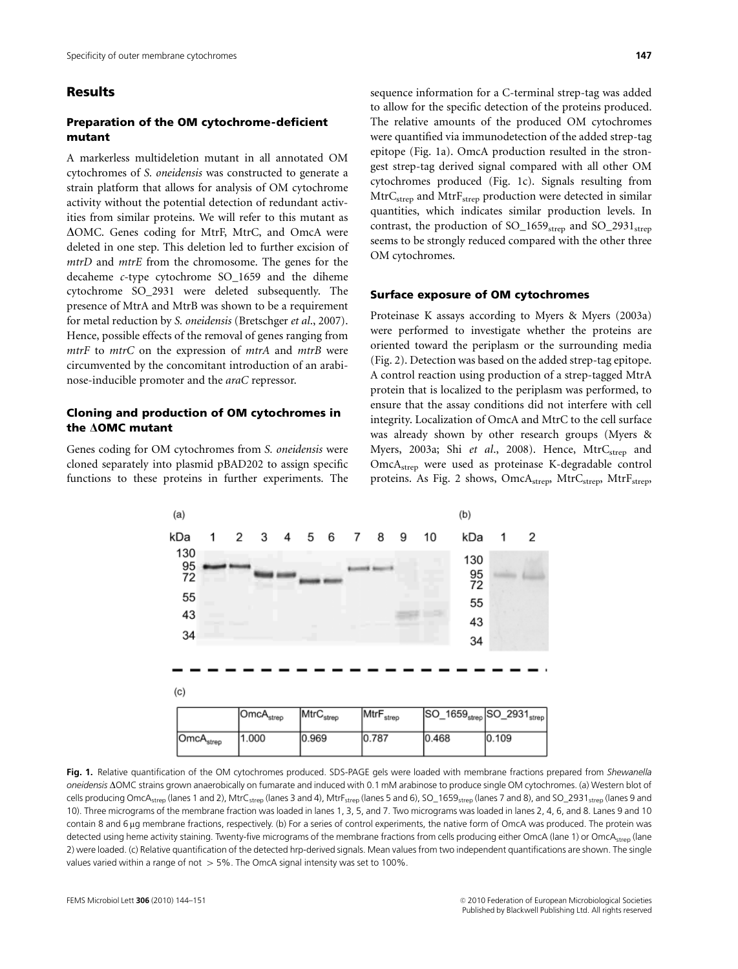# Results

## Preparation of the OM cytochrome-deficient mutant

A markerless multideletion mutant in all annotated OM cytochromes of S. oneidensis was constructed to generate a strain platform that allows for analysis of OM cytochrome activity without the potential detection of redundant activities from similar proteins. We will refer to this mutant as  $\Delta$ OMC. Genes coding for MtrF, MtrC, and OmcA were deleted in one step. This deletion led to further excision of mtrD and mtrE from the chromosome. The genes for the decaheme c-type cytochrome SO\_1659 and the diheme cytochrome SO\_2931 were deleted subsequently. The presence of MtrA and MtrB was shown to be a requirement for metal reduction by S. oneidensis (Bretschger et al., 2007). Hence, possible effects of the removal of genes ranging from mtrF to mtrC on the expression of mtrA and mtrB were circumvented by the concomitant introduction of an arabinose-inducible promoter and the araC repressor.

## Cloning and production of OM cytochromes in the  $\triangle$ OMC mutant

Genes coding for OM cytochromes from S. oneidensis were cloned separately into plasmid pBAD202 to assign specific functions to these proteins in further experiments. The

sequence information for a C-terminal strep-tag was added to allow for the specific detection of the proteins produced. The relative amounts of the produced OM cytochromes were quantified via immunodetection of the added strep-tag epitope (Fig. 1a). OmcA production resulted in the strongest strep-tag derived signal compared with all other OM cytochromes produced (Fig. 1c). Signals resulting from MtrC<sub>strep</sub> and MtrF<sub>strep</sub> production were detected in similar quantities, which indicates similar production levels. In contrast, the production of  $SO_1659_{\text{strep}}$  and  $SO_2931_{\text{strep}}$ seems to be strongly reduced compared with the other three OM cytochromes.

#### Surface exposure of OM cytochromes

Proteinase K assays according to Myers & Myers (2003a) were performed to investigate whether the proteins are oriented toward the periplasm or the surrounding media (Fig. 2). Detection was based on the added strep-tag epitope. A control reaction using production of a strep-tagged MtrA protein that is localized to the periplasm was performed, to ensure that the assay conditions did not interfere with cell integrity. Localization of OmcA and MtrC to the cell surface was already shown by other research groups (Myers & Myers, 2003a; Shi et al., 2008). Hence, MtrCstrep and OmcAstrep were used as proteinase K-degradable control proteins. As Fig. 2 shows,  $OmcA_{\text{strep}}$ ,  $MtrC_{\text{strep}}$ ,  $MtrF_{\text{strep}}$ ,



Fig. 1. Relative quantification of the OM cytochromes produced. SDS-PAGE gels were loaded with membrane fractions prepared from Shewanella oneidensis  $\Delta$ OMC strains grown anaerobically on fumarate and induced with 0.1 mM arabinose to produce single OM cytochromes. (a) Western blot of cells producing OmcA<sub>strep</sub> (lanes 1 and 2), MtrC<sub>strep</sub> (lanes 3 and 4), MtrF<sub>strep</sub> (lanes 5 and 6), SO\_1659<sub>strep</sub> (lanes 7 and 8), and SO\_2931<sub>strep</sub> (lanes 9 and 10). Three micrograms of the membrane fraction was loaded in lanes 1, 3, 5, and 7. Two micrograms was loaded in lanes 2, 4, 6, and 8. Lanes 9 and 10 contain 8 and 6 µg membrane fractions, respectively. (b) For a series of control experiments, the native form of OmcA was produced. The protein was detected using heme activity staining. Twenty-five micrograms of the membrane fractions from cells producing either OmcA (lane 1) or OmcA<sub>strep</sub> (lane 2) were loaded. (c) Relative quantification of the detected hrp-derived signals. Mean values from two independent quantifications are shown. The single values varied within a range of not  $> 5\%$ . The OmcA signal intensity was set to 100%.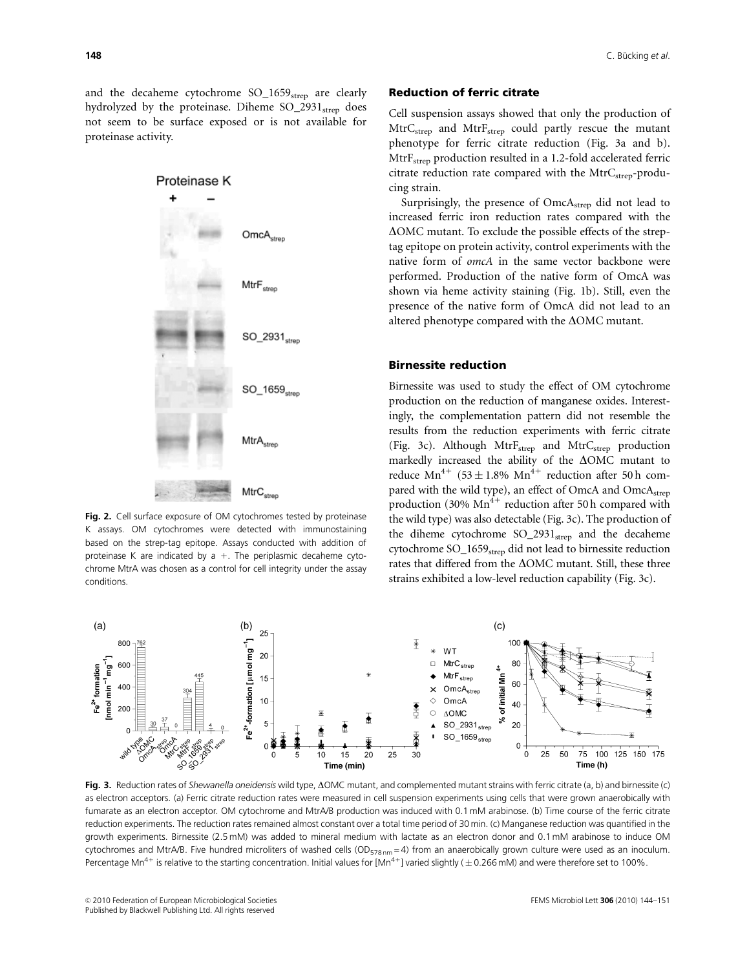and the decaheme cytochrome  $SO_{1659}_{\text{strep}}$  are clearly hydrolyzed by the proteinase. Diheme  $SO_2931<sub>strep</sub>$  does not seem to be surface exposed or is not available for proteinase activity.



Fig. 2. Cell surface exposure of OM cytochromes tested by proteinase K assays. OM cytochromes were detected with immunostaining based on the strep-tag epitope. Assays conducted with addition of proteinase K are indicated by a  $+$ . The periplasmic decaheme cytochrome MtrA was chosen as a control for cell integrity under the assay conditions.

#### Reduction of ferric citrate

Cell suspension assays showed that only the production of MtrC<sub>strep</sub> and MtrF<sub>strep</sub> could partly rescue the mutant phenotype for ferric citrate reduction (Fig. 3a and b). MtrF<sub>strep</sub> production resulted in a 1.2-fold accelerated ferric citrate reduction rate compared with the MtrC<sub>strep</sub>-producing strain.

Surprisingly, the presence of OmcAstrep did not lead to increased ferric iron reduction rates compared with the  $\Delta$ OMC mutant. To exclude the possible effects of the streptag epitope on protein activity, control experiments with the native form of omcA in the same vector backbone were performed. Production of the native form of OmcA was shown via heme activity staining (Fig. 1b). Still, even the presence of the native form of OmcA did not lead to an altered phenotype compared with the  $\Delta$ OMC mutant.

#### Birnessite reduction

Birnessite was used to study the effect of OM cytochrome production on the reduction of manganese oxides. Interestingly, the complementation pattern did not resemble the results from the reduction experiments with ferric citrate (Fig. 3c). Although  $MtrF_{strep}$  and  $MtrC_{strep}$  production markedly increased the ability of the  $\Delta$ OMC mutant to reduce  $Mn^{4+}$  (53 ± 1.8%  $Mn^{4+}$  reduction after 50 h compared with the wild type), an effect of OmcA and OmcA<sub>strep</sub> production (30%  $Mn^{4+}$  reduction after 50 h compared with the wild type) was also detectable (Fig. 3c). The production of the diheme cytochrome  $SO_2931_{\text{strep}}$  and the decaheme cytochrome SO\_1659<sub>strep</sub> did not lead to birnessite reduction rates that differed from the  $\Delta$ OMC mutant. Still, these three strains exhibited a low-level reduction capability (Fig. 3c).



Fig. 3. Reduction rates of Shewanella oneidensis wild type,  $\Delta$ OMC mutant, and complemented mutant strains with ferric citrate (a, b) and birnessite (c) as electron acceptors. (a) Ferric citrate reduction rates were measured in cell suspension experiments using cells that were grown anaerobically with fumarate as an electron acceptor. OM cytochrome and MtrA/B production was induced with 0.1 mM arabinose. (b) Time course of the ferric citrate reduction experiments. The reduction rates remained almost constant over a total time period of 30 min. (c) Manganese reduction was quantified in the growth experiments. Birnessite (2.5 mM) was added to mineral medium with lactate as an electron donor and 0.1 mM arabinose to induce OM cytochromes and MtrA/B. Five hundred microliters of washed cells ( $OD_{578\text{nm}} = 4$ ) from an anaerobically grown culture were used as an inoculum. Percentage Mn<sup>4+</sup> is relative to the starting concentration. Initial values for [Mn<sup>4+</sup>] varied slightly ( $\pm$  0.266 mM) and were therefore set to 100%.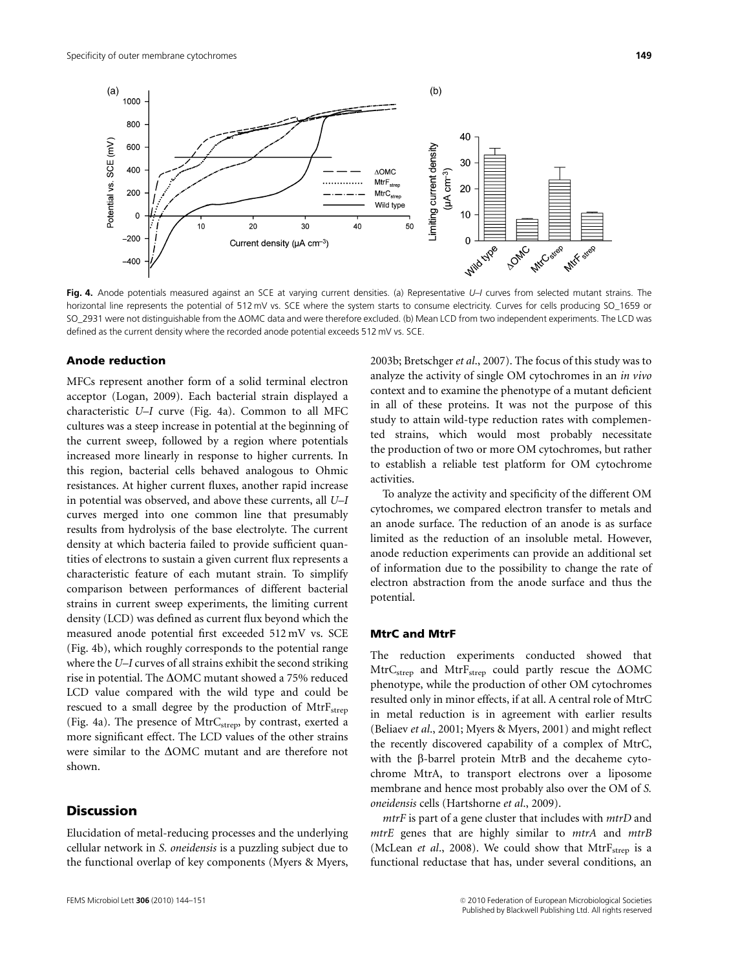

Fig. 4. Anode potentials measured against an SCE at varying current densities. (a) Representative U–I curves from selected mutant strains. The horizontal line represents the potential of 512 mV vs. SCE where the system starts to consume electricity. Curves for cells producing SO\_1659 or SO\_2931 were not distinguishable from the  $\Delta$ OMC data and were therefore excluded. (b) Mean LCD from two independent experiments. The LCD was defined as the current density where the recorded anode potential exceeds 512 mV vs. SCE.

#### Anode reduction

MFCs represent another form of a solid terminal electron acceptor (Logan, 2009). Each bacterial strain displayed a characteristic U–I curve (Fig. 4a). Common to all MFC cultures was a steep increase in potential at the beginning of the current sweep, followed by a region where potentials increased more linearly in response to higher currents. In this region, bacterial cells behaved analogous to Ohmic resistances. At higher current fluxes, another rapid increase in potential was observed, and above these currents, all U–I curves merged into one common line that presumably results from hydrolysis of the base electrolyte. The current density at which bacteria failed to provide sufficient quantities of electrons to sustain a given current flux represents a characteristic feature of each mutant strain. To simplify comparison between performances of different bacterial strains in current sweep experiments, the limiting current density (LCD) was defined as current flux beyond which the measured anode potential first exceeded 512 mV vs. SCE (Fig. 4b), which roughly corresponds to the potential range where the U–I curves of all strains exhibit the second striking rise in potential. The  $\Delta$ OMC mutant showed a 75% reduced LCD value compared with the wild type and could be rescued to a small degree by the production of MtrF<sub>strep</sub> (Fig. 4a). The presence of  $MtrC<sub>stream</sub>$  by contrast, exerted a more significant effect. The LCD values of the other strains were similar to the  $\Delta$ OMC mutant and are therefore not shown.

# **Discussion**

Elucidation of metal-reducing processes and the underlying cellular network in S. oneidensis is a puzzling subject due to the functional overlap of key components (Myers & Myers,

2003b; Bretschger et al., 2007). The focus of this study was to analyze the activity of single OM cytochromes in an in vivo context and to examine the phenotype of a mutant deficient in all of these proteins. It was not the purpose of this study to attain wild-type reduction rates with complemented strains, which would most probably necessitate the production of two or more OM cytochromes, but rather to establish a reliable test platform for OM cytochrome activities.

To analyze the activity and specificity of the different OM cytochromes, we compared electron transfer to metals and an anode surface. The reduction of an anode is as surface limited as the reduction of an insoluble metal. However, anode reduction experiments can provide an additional set of information due to the possibility to change the rate of electron abstraction from the anode surface and thus the potential.

# MtrC and MtrF

The reduction experiments conducted showed that  $MtrC<sub>strep</sub>$  and  $MtrF<sub>strep</sub>$  could partly rescue the  $\Delta OMC$ phenotype, while the production of other OM cytochromes resulted only in minor effects, if at all. A central role of MtrC in metal reduction is in agreement with earlier results (Beliaev et al., 2001; Myers & Myers, 2001) and might reflect the recently discovered capability of a complex of MtrC, with the  $\beta$ -barrel protein MtrB and the decaheme cytochrome MtrA, to transport electrons over a liposome membrane and hence most probably also over the OM of S. oneidensis cells (Hartshorne et al., 2009).

mtrF is part of a gene cluster that includes with mtrD and mtrE genes that are highly similar to mtrA and mtrB (McLean et al., 2008). We could show that  $MtrF<sub>strep</sub>$  is a functional reductase that has, under several conditions, an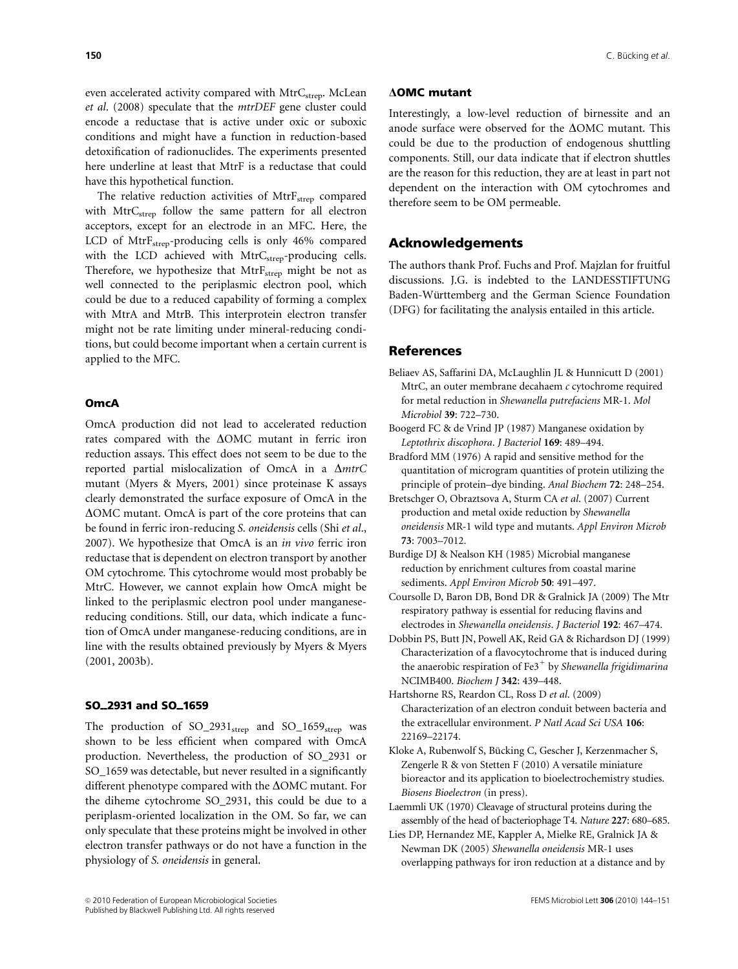even accelerated activity compared with MtrC<sub>strep</sub>. McLean et al. (2008) speculate that the mtrDEF gene cluster could encode a reductase that is active under oxic or suboxic conditions and might have a function in reduction-based detoxification of radionuclides. The experiments presented here underline at least that MtrF is a reductase that could have this hypothetical function.

The relative reduction activities of  $MtrF<sub>strep</sub>$  compared with MtrC<sub>strep</sub> follow the same pattern for all electron acceptors, except for an electrode in an MFC. Here, the LCD of MtrF<sub>strep</sub>-producing cells is only 46% compared with the LCD achieved with MtrC<sub>strep</sub>-producing cells. Therefore, we hypothesize that  $MtrF<sub>strep</sub>$  might be not as well connected to the periplasmic electron pool, which could be due to a reduced capability of forming a complex with MtrA and MtrB. This interprotein electron transfer might not be rate limiting under mineral-reducing conditions, but could become important when a certain current is applied to the MFC.

## **OmcA**

OmcA production did not lead to accelerated reduction rates compared with the  $\Delta$ OMC mutant in ferric iron reduction assays. This effect does not seem to be due to the reported partial mislocalization of OmcA in a  $\Delta m$ trC mutant (Myers & Myers, 2001) since proteinase K assays clearly demonstrated the surface exposure of OmcA in the  $\Delta$ OMC mutant. OmcA is part of the core proteins that can be found in ferric iron-reducing S. oneidensis cells (Shi et al., 2007). We hypothesize that OmcA is an in vivo ferric iron reductase that is dependent on electron transport by another OM cytochrome. This cytochrome would most probably be MtrC. However, we cannot explain how OmcA might be linked to the periplasmic electron pool under manganesereducing conditions. Still, our data, which indicate a function of OmcA under manganese-reducing conditions, are in line with the results obtained previously by Myers & Myers (2001, 2003b).

## SO<sub>-2931</sub> and SO<sub>-1659</sub>

The production of  $SO_2931_{\text{strep}}$  and  $SO_1659_{\text{strep}}$  was shown to be less efficient when compared with OmcA production. Nevertheless, the production of SO\_2931 or SO\_1659 was detectable, but never resulted in a significantly different phenotype compared with the  $\Delta$ OMC mutant. For the diheme cytochrome SO\_2931, this could be due to a periplasm-oriented localization in the OM. So far, we can only speculate that these proteins might be involved in other electron transfer pathways or do not have a function in the physiology of S. oneidensis in general.

## $\Delta$ OMC mutant

Interestingly, a low-level reduction of birnessite and an anode surface were observed for the  $\Delta$ OMC mutant. This could be due to the production of endogenous shuttling components. Still, our data indicate that if electron shuttles are the reason for this reduction, they are at least in part not dependent on the interaction with OM cytochromes and therefore seem to be OM permeable.

# Acknowledgements

The authors thank Prof. Fuchs and Prof. Majzlan for fruitful discussions. J.G. is indebted to the LANDESSTIFTUNG Baden-Württemberg and the German Science Foundation (DFG) for facilitating the analysis entailed in this article.

#### References

- Beliaev AS, Saffarini DA, McLaughlin JL & Hunnicutt D (2001) MtrC, an outer membrane decahaem c cytochrome required for metal reduction in Shewanella putrefaciens MR-1. Mol Microbiol 39: 722–730.
- Boogerd FC & de Vrind JP (1987) Manganese oxidation by Leptothrix discophora. J Bacteriol 169: 489–494.
- Bradford MM (1976) A rapid and sensitive method for the quantitation of microgram quantities of protein utilizing the principle of protein–dye binding. Anal Biochem 72: 248–254.
- Bretschger O, Obraztsova A, Sturm CA et al. (2007) Current production and metal oxide reduction by Shewanella oneidensis MR-1 wild type and mutants. Appl Environ Microb 73: 7003–7012.
- Burdige DJ & Nealson KH (1985) Microbial manganese reduction by enrichment cultures from coastal marine sediments. Appl Environ Microb 50: 491-497.
- Coursolle D, Baron DB, Bond DR & Gralnick JA (2009) The Mtr respiratory pathway is essential for reducing flavins and electrodes in Shewanella oneidensis. J Bacteriol 192: 467–474.
- Dobbin PS, Butt JN, Powell AK, Reid GA & Richardson DJ (1999) Characterization of a flavocytochrome that is induced during the anaerobic respiration of  $Fe3^+$  by Shewanella frigidimarina NCIMB400. Biochem J 342: 439–448.
- Hartshorne RS, Reardon CL, Ross D et al. (2009) Characterization of an electron conduit between bacteria and the extracellular environment. P Natl Acad Sci USA 106: 22169–22174.
- Kloke A, Rubenwolf S, Bücking C, Gescher J, Kerzenmacher S, Zengerle R & von Stetten F (2010) A versatile miniature bioreactor and its application to bioelectrochemistry studies. Biosens Bioelectron (in press).
- Laemmli UK (1970) Cleavage of structural proteins during the assembly of the head of bacteriophage T4. Nature 227: 680–685.
- Lies DP, Hernandez ME, Kappler A, Mielke RE, Gralnick JA & Newman DK (2005) Shewanella oneidensis MR-1 uses overlapping pathways for iron reduction at a distance and by